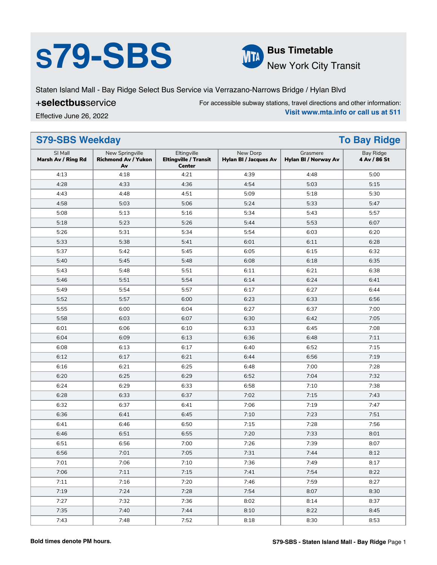# **S79-SBS Bus Timetable**



New York City Transit

Staten Island Mall - Bay Ridge Select Bus Service via Verrazano-Narrows Bridge / Hylan Blvd

### +**selectbus**service

For accessible subway stations, travel directions and other information: **Visit www.mta.info or call us at 511**

Effective June 26, 2022

| <b>S79-SBS Weekday</b>        |                                                     |                                                              | <b>To Bay Ridge</b>                      |                                  |                                  |
|-------------------------------|-----------------------------------------------------|--------------------------------------------------------------|------------------------------------------|----------------------------------|----------------------------------|
| SI Mall<br>Marsh Av / Ring Rd | New Springville<br><b>Richmond Av / Yukon</b><br>Av | Eltingville<br><b>Eltingville / Transit</b><br><b>Center</b> | New Dorp<br><b>Hylan BI / Jacques Av</b> | Grasmere<br>Hylan BI / Norway Av | <b>Bay Ridge</b><br>4 Av / 86 St |
| 4:13                          | 4:18                                                | 4:21                                                         | 4:39                                     | 4:48                             | 5:00                             |
| 4:28                          | 4:33                                                | 4:36                                                         | 4:54                                     | 5:03                             | 5:15                             |
| 4:43                          | 4:48                                                | 4:51                                                         | 5:09                                     | 5:18                             | 5:30                             |
| 4:58                          | 5:03                                                | 5:06                                                         | 5:24                                     | 5:33                             | 5:47                             |
| 5:08                          | 5:13                                                | 5:16                                                         | 5:34                                     | 5:43                             | 5:57                             |
| 5:18                          | 5:23                                                | 5:26                                                         | 5:44                                     | 5:53                             | 6:07                             |
| 5:26                          | 5:31                                                | 5:34                                                         | 5:54                                     | 6:03                             | 6:20                             |
| 5:33                          | 5:38                                                | 5:41                                                         | 6:01                                     | 6:11                             | 6:28                             |
| 5:37                          | 5:42                                                | 5:45                                                         | 6:05                                     | 6:15                             | 6:32                             |
| 5:40                          | 5:45                                                | 5:48                                                         | 6:08                                     | 6:18                             | 6:35                             |
| 5:43                          | 5:48                                                | 5:51                                                         | 6:11                                     | 6:21                             | 6:38                             |
| 5:46                          | 5:51                                                | 5:54                                                         | 6:14                                     | 6:24                             | 6:41                             |
| 5:49                          | 5:54                                                | 5:57                                                         | 6:17                                     | 6:27                             | 6:44                             |
| 5:52                          | 5:57                                                | 6:00                                                         | 6:23                                     | 6:33                             | 6:56                             |
| 5:55                          | 6:00                                                | 6:04                                                         | 6:27                                     | 6:37                             | 7:00                             |
| 5:58                          | 6:03                                                | 6:07                                                         | 6:30                                     | 6:42                             | 7:05                             |
| 6:01                          | 6:06                                                | 6:10                                                         | 6:33                                     | 6:45                             | 7:08                             |
| 6:04                          | 6:09                                                | 6:13                                                         | 6:36                                     | 6:48                             | 7:11                             |
| 6:08                          | 6:13                                                | 6:17                                                         | 6:40                                     | 6:52                             | 7:15                             |
| 6:12                          | 6:17                                                | 6:21                                                         | 6:44                                     | 6:56                             | 7:19                             |
| 6:16                          | 6:21                                                | 6:25                                                         | 6:48                                     | 7:00                             | 7:28                             |
| 6:20                          | 6:25                                                | 6:29                                                         | 6:52                                     | 7:04                             | 7:32                             |
| 6:24                          | 6:29                                                | 6:33                                                         | 6:58                                     | 7:10                             | 7:38                             |
| 6:28                          | 6:33                                                | 6:37                                                         | 7:02                                     | 7:15                             | 7:43                             |
| 6:32                          | 6:37                                                | 6:41                                                         | 7:06                                     | 7:19                             | 7:47                             |
| 6:36                          | 6:41                                                | 6:45                                                         | 7:10                                     | 7:23                             | 7:51                             |
| 6:41                          | 6:46                                                | 6:50                                                         | 7:15                                     | 7:28                             | 7:56                             |
| 6:46                          | 6:51                                                | 6:55                                                         | 7:20                                     | 7:33                             | 8:01                             |
| 6:51                          | 6:56                                                | 7:00                                                         | 7:26                                     | 7:39                             | 8:07                             |
| 6:56                          | 7:01                                                | 7:05                                                         | 7:31                                     | 7:44                             | 8:12                             |
| 7:01                          | 7:06                                                | 7:10                                                         | 7:36                                     | 7:49                             | 8:17                             |
| 7:06                          | 7:11                                                | 7:15                                                         | 7:41                                     | 7:54                             | 8:22                             |
| 7:11                          | 7:16                                                | 7:20                                                         | 7:46                                     | 7:59                             | 8:27                             |
| 7:19                          | 7:24                                                | 7:28                                                         | 7:54                                     | 8:07                             | 8:30                             |
| 7:27                          | 7:32                                                | 7:36                                                         | 8:02                                     | 8:14                             | 8:37                             |
| 7:35                          | 7:40                                                | 7:44                                                         | 8:10                                     | 8:22                             | 8:45                             |
| 7:43                          | 7:48                                                | 7:52                                                         | 8:18                                     | 8:30                             | 8:53                             |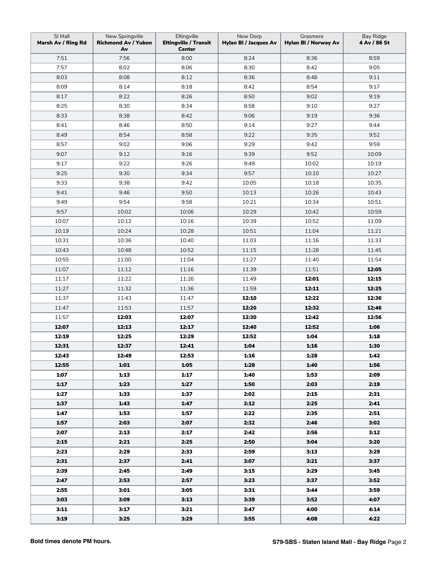| SI Mall<br>Marsh Av / Ring Rd | New Springville<br><b>Richmond Av / Yukon</b><br>Av | Eltingville<br><b>Eltingville / Transit</b><br><b>Center</b> | New Dorp<br><b>Hylan BI / Jacques Av</b> | Grasmere<br>Hylan BI / Norway Av | <b>Bay Ridge</b><br>4 Av / 86 St |
|-------------------------------|-----------------------------------------------------|--------------------------------------------------------------|------------------------------------------|----------------------------------|----------------------------------|
| 7:51                          | 7:56                                                | 8:00                                                         | 8:24                                     | 8:36                             | 8:59                             |
| 7:57                          | 8:02                                                | 8:06                                                         | 8:30                                     | 8:42                             | 9:05                             |
| 8:03                          | 8:08                                                | 8:12                                                         | 8:36                                     | 8:48                             | 9:11                             |
| 8:09                          | 8:14                                                | 8:18                                                         | 8:42                                     | 8:54                             | 9:17                             |
| 8:17                          | 8:22                                                | 8:26                                                         | 8:50                                     | 9:02                             | 9:19                             |
| 8:25                          | 8:30                                                | 8:34                                                         | 8:58                                     | 9:10                             | 9:27                             |
| 8:33                          | 8:38                                                | 8:42                                                         | 9:06                                     | 9:19                             | 9:36                             |
| 8:41                          | 8:46                                                | 8:50                                                         | 9:14                                     | 9:27                             | 9:44                             |
| 8:49                          | 8:54                                                | 8:58                                                         | 9:22                                     | 9:35                             | 9:52                             |
| 8:57                          | 9:02                                                | 9:06                                                         | 9:29                                     | 9:42                             | 9:59                             |
| 9:07                          | 9:12                                                | 9:16                                                         | 9:39                                     | 9:52                             | 10:09                            |
| 9:17                          | 9:22                                                | 9:26                                                         | 9:49                                     | 10:02                            | 10:19                            |
| 9:25                          | 9:30                                                | 9:34                                                         | 9:57                                     | 10:10                            | 10:27                            |
| 9:33                          | 9:38                                                | 9:42                                                         | 10:05                                    | 10:18                            | 10:35                            |
| 9:41                          | 9:46                                                | 9:50                                                         | 10:13                                    | 10:26                            | 10:43                            |
| 9:49                          | 9:54                                                | 9:58                                                         | 10:21                                    | 10:34                            | 10:51                            |
| 9:57                          | 10:02                                               | 10:06                                                        | 10:29                                    | 10:42                            | 10:59                            |
| 10:07                         | 10:12                                               | 10:16                                                        | 10:39                                    | 10:52                            | 11:09                            |
| 10:19                         | 10:24                                               | 10:28                                                        | 10:51                                    | 11:04                            | 11:21                            |
| 10:31                         | 10:36                                               | 10:40                                                        | 11:03                                    | 11:16                            | 11:33                            |
| 10:43                         | 10:48                                               | 10:52                                                        | 11:15                                    | 11:28                            | 11:45                            |
| 10:55                         | 11:00                                               | 11:04                                                        | 11:27                                    | 11:40                            | 11:54                            |
| 11:07                         | 11:12                                               | 11:16                                                        | 11:39                                    | 11:51                            | 12:05                            |
| 11:17                         | 11:22                                               | 11:26                                                        | 11:49                                    | 12:01                            | 12:15                            |
| 11:27                         | 11:32                                               | 11:36                                                        | 11:59                                    | 12:11                            | 12:25                            |
| 11:37                         | 11:43                                               | 11:47                                                        | 12:10                                    | 12:22                            | 12:36                            |
| 11:47                         | 11:53                                               | 11:57                                                        | 12:20                                    | 12:32                            | 12:46                            |
| 11:57                         | 12:03                                               | 12:07                                                        | 12:30                                    | 12:42                            | 12:56                            |
| 12:07                         | 12:13                                               | 12:17                                                        | 12:40                                    | 12:52                            | 1:06                             |
| 12:19                         | 12:25                                               | 12:29                                                        | 12:52                                    | 1:04                             | 1:18                             |
| 12:31                         | 12:37                                               | 12:41                                                        | 1:04                                     | 1:16                             | 1:30                             |
| 12:43                         | 12:49                                               | 12:53                                                        | 1:16                                     | 1:28                             | 1:42                             |
| 12:55                         | 1:01                                                | 1:05                                                         | 1:28                                     | 1:40                             | 1:56                             |
| 1:07                          | 1:13                                                | 1:17                                                         | 1:40                                     | 1:53                             | 2:09                             |
| 1:17                          | 1:23                                                | 1:27                                                         | 1:50                                     | 2:03                             | 2:19                             |
| 1:27                          | 1:33                                                | 1:37                                                         | 2:02                                     | 2:15                             | 2:31                             |
| 1:37                          | 1:43                                                | 1:47                                                         | 2:12                                     | 2:25                             | 2:41                             |
| 1:47                          | 1:53                                                | 1:57                                                         | 2:22                                     | 2:35                             | 2:51                             |
| 1:57                          | 2:03                                                | 2:07                                                         | 2:32                                     | 2:46                             | 3:02                             |
| 2:07                          | 2:13                                                | 2:17                                                         | 2:42                                     | 2:56                             | 3:12                             |
| 2:15                          | 2:21                                                | 2:25                                                         | 2:50                                     | 3:04                             | 3:20                             |
| 2:23                          | 2:29                                                | 2:33                                                         | 2:59                                     | 3:13                             | 3:29                             |
| 2:31                          | 2:37                                                | 2:41                                                         | 3:07                                     | 3:21                             | 3:37                             |
| 2:39                          | 2:45                                                | 2:49                                                         | 3:15                                     | 3:29                             | 3:45                             |
| 2:47                          | 2:53                                                | 2:57                                                         | 3:23                                     | 3:37                             | 3:52                             |
| 2:55                          | 3:01                                                | 3:05                                                         | 3:31                                     | 3:44                             | 3:59                             |
| 3:03                          | 3:09                                                | 3:13                                                         | 3:39                                     | 3:52                             | 4:07                             |
| 3:11                          | 3:17                                                | 3:21                                                         | 3:47                                     | 4:00                             | 4:14                             |
| 3:19                          | 3:25                                                | 3:29                                                         | 3:55                                     | 4:08                             | 4:22                             |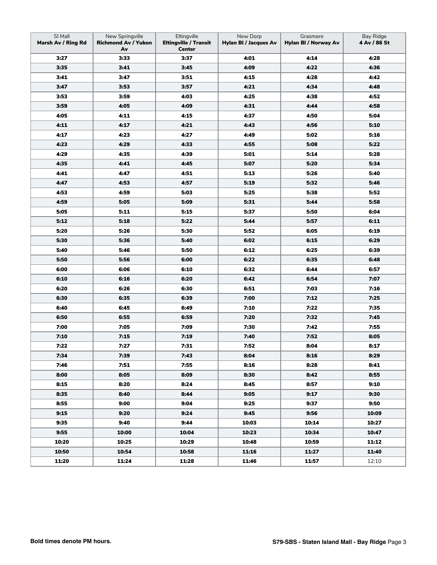| SI Mall<br>Marsh Av / Ring Rd | New Springville<br><b>Richmond Av / Yukon</b><br>Av | Eltingville<br><b>Eltingville / Transit</b><br>Center | New Dorp<br><b>Hylan BI / Jacques Av</b> | Grasmere<br>Hylan BI / Norway Av | Bay Ridge<br>4 Av / 86 St |
|-------------------------------|-----------------------------------------------------|-------------------------------------------------------|------------------------------------------|----------------------------------|---------------------------|
| 3:27                          | 3:33                                                | 3:37                                                  | 4:01                                     | 4:14                             | 4:28                      |
| 3:35                          | 3:41                                                | 3:45                                                  | 4:09                                     | 4:22                             | 4:36                      |
| 3:41                          | 3:47                                                | 3:51                                                  | 4:15                                     | 4:28                             | 4:42                      |
| 3:47                          | 3:53                                                | 3:57                                                  | 4:21                                     | 4:34                             | 4:48                      |
| 3:53                          | 3:59                                                | 4:03                                                  | 4:25                                     | 4:38                             | 4:52                      |
| 3:59                          | 4:05                                                | 4:09                                                  | 4:31                                     | 4:44                             | 4:58                      |
| 4:05                          | 4:11                                                | 4:15                                                  | 4:37                                     | 4:50                             | 5:04                      |
| 4:11                          | 4:17                                                | 4:21                                                  | 4:43                                     | 4:56                             | 5:10                      |
| 4:17                          | 4:23                                                | 4:27                                                  | 4:49                                     | 5:02                             | 5:16                      |
| 4:23                          | 4:29                                                | 4:33                                                  | 4:55                                     | 5:08                             | 5:22                      |
| 4:29                          | 4:35                                                | 4:39                                                  | 5:01                                     | 5:14                             | 5:28                      |
| 4:35                          | 4:41                                                | 4:45                                                  | 5:07                                     | 5:20                             | 5:34                      |
| 4:41                          | 4:47                                                | 4:51                                                  | 5:13                                     | 5:26                             | 5:40                      |
| 4:47                          | 4:53                                                | 4:57                                                  | 5:19                                     | 5:32                             | 5:46                      |
| 4:53                          | 4:59                                                | 5:03                                                  | 5:25                                     | 5:38                             | 5:52                      |
| 4:59                          | 5:05                                                | 5:09                                                  | 5:31                                     | 5:44                             | 5:58                      |
| 5:05                          | 5:11                                                | 5:15                                                  | 5:37                                     | 5:50                             | 6:04                      |
| 5:12                          | 5:18                                                | 5:22                                                  | 5:44                                     | 5:57                             | 6:11                      |
| 5:20                          | 5:26                                                | 5:30                                                  | 5:52                                     | 6:05                             | 6:19                      |
| 5:30                          | 5:36                                                | 5:40                                                  | 6:02                                     | 6:15                             | 6:29                      |
| 5:40                          | 5:46                                                | 5:50                                                  | 6:12                                     | 6:25                             | 6:39                      |
| 5:50                          | 5:56                                                | 6:00                                                  | 6:22                                     | 6:35                             | 6:48                      |
| 6:00                          | 6:06                                                | 6:10                                                  | 6:32                                     | 6:44                             | 6:57                      |
| 6:10                          | 6:16                                                | 6:20                                                  | 6:42                                     | 6:54                             | 7:07                      |
| 6:20                          | 6:26                                                | 6:30                                                  | 6:51                                     | 7:03                             | 7:16                      |
| 6:30                          | 6:35                                                | 6:39                                                  | 7:00                                     | 7:12                             | 7:25                      |
| 6:40                          | 6:45                                                | 6:49                                                  | 7:10                                     | 7:22                             | 7:35                      |
| 6:50                          | 6:55                                                | 6:59                                                  | 7:20                                     | 7:32                             | 7:45                      |
| 7:00                          | 7:05                                                | 7:09                                                  | 7:30                                     | 7:42                             | 7:55                      |
| 7:10                          | 7:15                                                | 7:19                                                  | 7:40                                     | 7:52                             | 8:05                      |
| 7:22                          | 7:27                                                | 7:31                                                  | 7:52                                     | 8:04                             | 8:17                      |
| 7:34                          | 7:39                                                | 7:43                                                  | 8:04                                     | 8:16                             | 8:29                      |
| 7:46                          | 7:51                                                | 7:55                                                  | 8:16                                     | 8:28                             | 8:41                      |
| 8:00                          | 8:05                                                | 8:09                                                  | 8:30                                     | 8:42                             | 8:55                      |
| 8:15                          | 8:20                                                | 8:24                                                  | 8:45                                     | 8:57                             | 9:10                      |
| 8:35                          | 8:40                                                | 8:44                                                  | 9:05                                     | 9:17                             | 9:30                      |
| 8:55                          | 9:00                                                | 9:04                                                  | 9:25                                     | 9:37                             | 9:50                      |
| 9:15                          | 9:20                                                | 9:24                                                  | 9:45                                     | 9:56                             | 10:09                     |
| 9:35                          | 9:40                                                | 9:44                                                  | 10:03                                    | 10:14                            | 10:27                     |
| 9:55                          | 10:00                                               | 10:04                                                 | 10:23                                    | 10:34                            | 10:47                     |
| 10:20                         | 10:25                                               | 10:29                                                 | 10:48                                    | 10:59                            | 11:12                     |
| 10:50                         | 10:54                                               | 10:58                                                 | 11:16                                    | 11:27                            | 11:40                     |
| 11:20                         | 11:24                                               | 11:28                                                 | 11:46                                    | 11:57                            | 12:10                     |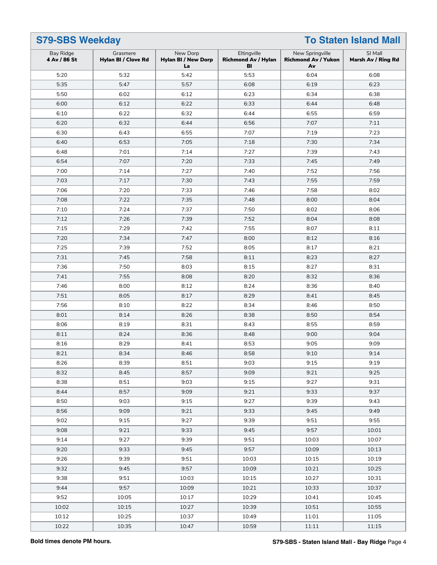|                           | <b>To Staten Island Mall</b><br><b>S79-SBS Weekday</b> |                                              |                                                 |                                                     |                               |
|---------------------------|--------------------------------------------------------|----------------------------------------------|-------------------------------------------------|-----------------------------------------------------|-------------------------------|
| Bay Ridge<br>4 Av / 86 St | Grasmere<br>Hylan BI / Clove Rd                        | New Dorp<br><b>Hylan BI / New Dorp</b><br>La | Eltingville<br><b>Richmond Av / Hylan</b><br>BI | New Springville<br><b>Richmond Av / Yukon</b><br>Av | SI Mall<br>Marsh Av / Ring Rd |
| 5:20                      | 5:32                                                   | 5:42                                         | 5:53                                            | 6:04                                                | 6:08                          |
| 5:35                      | 5:47                                                   | 5:57                                         | 6:08                                            | 6:19                                                | 6:23                          |
| 5:50                      | 6:02                                                   | 6:12                                         | 6:23                                            | 6:34                                                | 6:38                          |
| 6:00                      | 6:12                                                   | 6:22                                         | 6:33                                            | 6:44                                                | 6:48                          |
| 6:10                      | 6:22                                                   | 6:32                                         | 6:44                                            | 6:55                                                | 6:59                          |
| 6:20                      | 6:32                                                   | 6:44                                         | 6:56                                            | 7:07                                                | 7:11                          |
| 6:30                      | 6:43                                                   | 6:55                                         | 7:07                                            | 7:19                                                | 7:23                          |
| 6:40                      | 6:53                                                   | 7:05                                         | 7:18                                            | 7:30                                                | 7:34                          |
| 6:48                      | 7:01                                                   | 7:14                                         | 7:27                                            | 7:39                                                | 7:43                          |
| 6:54                      | 7:07                                                   | 7:20                                         | 7:33                                            | 7:45                                                | 7:49                          |
| 7:00                      | 7:14                                                   | 7:27                                         | 7:40                                            | 7:52                                                | 7:56                          |
| 7:03                      | 7:17                                                   | 7:30                                         | 7:43                                            | 7:55                                                | 7:59                          |
| 7:06                      | 7:20                                                   | 7:33                                         | 7:46                                            | 7:58                                                | 8:02                          |
| 7:08                      | 7:22                                                   | 7:35                                         | 7:48                                            | 8:00                                                | 8:04                          |
| 7:10                      | 7:24                                                   | 7:37                                         | 7:50                                            | 8:02                                                | 8:06                          |
| 7:12                      | 7:26                                                   | 7:39                                         | 7:52                                            | 8:04                                                | 8:08                          |
| 7:15                      | 7:29                                                   | 7:42                                         | 7:55                                            | 8:07                                                | 8:11                          |
| 7:20                      | 7:34                                                   | 7:47                                         | 8:00                                            | 8:12                                                | 8:16                          |
| 7:25                      | 7:39                                                   | 7:52                                         | 8:05                                            | 8:17                                                | 8:21                          |
| 7:31                      | 7:45                                                   | 7:58                                         | 8:11                                            | 8:23                                                | 8:27                          |
| 7:36                      | 7:50                                                   | 8:03                                         | 8:15                                            | 8:27                                                | 8:31                          |
| 7:41                      | 7:55                                                   | 8:08                                         | 8:20                                            | 8:32                                                | 8:36                          |
| 7:46                      | 8:00                                                   | 8:12                                         | 8:24                                            | 8:36                                                | 8:40                          |
| 7:51                      | 8:05                                                   | 8:17                                         | 8:29                                            | 8:41                                                | 8:45                          |
| 7:56                      | 8:10                                                   | 8:22                                         | 8:34                                            | 8:46                                                | 8:50                          |
| 8:01                      | 8:14                                                   | 8:26                                         | 8:38                                            | 8:50                                                | 8:54                          |
| 8:06                      | 8:19                                                   | 8:31                                         | 8:43                                            | 8:55                                                | 8:59                          |
| 8:11                      | 8:24                                                   | 8:36                                         | 8:48                                            | 9:00                                                | 9:04                          |
| 8:16                      | 8:29                                                   | 8:41                                         | 8:53                                            | 9:05                                                | 9:09                          |
| 8:21                      | 8:34                                                   | 8:46                                         | 8:58                                            | 9:10                                                | 9:14                          |
| 8:26                      | 8:39                                                   | 8:51                                         | 9:03                                            | 9:15                                                | 9:19                          |
| 8:32                      | 8:45                                                   | 8:57                                         | 9:09                                            | 9:21                                                | 9:25                          |
| 8:38                      | 8:51                                                   | 9:03                                         | 9:15                                            | 9:27                                                | 9:31                          |
| 8:44                      | 8:57                                                   | 9:09                                         | 9:21                                            | 9:33                                                | 9:37                          |
| 8:50                      | 9:03                                                   | 9:15                                         | 9:27                                            | 9:39                                                | 9:43                          |
| 8:56                      | 9:09                                                   | 9:21                                         | 9:33                                            | 9:45                                                | 9:49                          |
| 9:02                      | 9:15                                                   | 9:27                                         | 9:39                                            | 9:51                                                | 9:55                          |
| 9:08                      | 9:21                                                   | 9:33                                         | 9:45                                            | 9:57                                                | 10:01                         |
| 9:14                      | 9:27                                                   | 9:39                                         | 9:51                                            | 10:03                                               | 10:07                         |
| 9:20                      | 9:33                                                   | 9:45                                         | 9:57                                            | 10:09                                               | 10:13                         |
| 9:26                      | 9:39                                                   | 9:51                                         | 10:03                                           | 10:15                                               | 10:19                         |
| 9:32                      | 9:45                                                   | 9:57                                         | 10:09                                           | 10:21                                               | 10:25                         |
| 9:38                      | 9:51                                                   | 10:03                                        | 10:15                                           | 10:27                                               | 10:31                         |
| 9:44                      | 9:57                                                   | 10:09                                        | 10:21                                           | 10:33                                               | 10:37                         |
| 9:52                      | 10:05                                                  | 10:17                                        | 10:29                                           | 10:41                                               | 10:45                         |
| 10:02                     | 10:15                                                  | 10:27                                        | 10:39                                           | 10:51                                               | 10:55                         |
| 10:12                     | 10:25                                                  | 10:37                                        | 10:49                                           | 11:01                                               | 11:05                         |
| 10:22                     | 10:35                                                  | 10:47                                        | 10:59                                           | 11:11                                               | 11:15                         |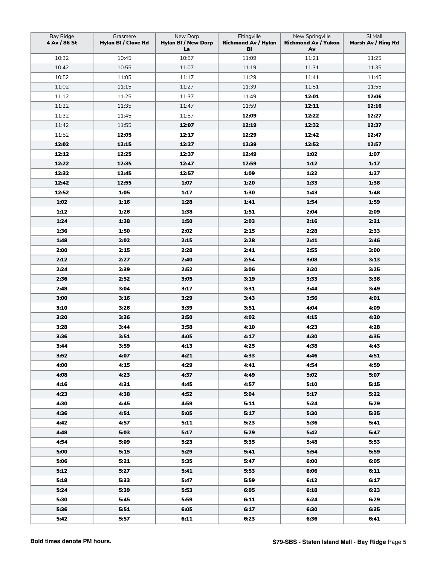| Bay Ridge<br>4 Av / 86 St | Grasmere<br>Hylan BI / Clove Rd | New Dorp<br><b>Hylan BI / New Dorp</b><br>La | Eltingville<br><b>Richmond Av / Hylan</b><br>BI | New Springville<br><b>Richmond Av / Yukon</b><br>Av | SI Mall<br>Marsh Av / Ring Rd |
|---------------------------|---------------------------------|----------------------------------------------|-------------------------------------------------|-----------------------------------------------------|-------------------------------|
| 10:32                     | 10:45                           | 10:57                                        | 11:09                                           | 11:21                                               | 11:25                         |
| 10:42                     | 10:55                           | 11:07                                        | 11:19                                           | 11:31                                               | 11:35                         |
| 10:52                     | 11:05                           | 11:17                                        | 11:29                                           | 11:41                                               | 11:45                         |
| 11:02                     | 11:15                           | 11:27                                        | 11:39                                           | 11:51                                               | 11:55                         |
| 11:12                     | 11:25                           | 11:37                                        | 11:49                                           | 12:01                                               | 12:06                         |
| 11:22                     | 11:35                           | 11:47                                        | 11:59                                           | 12:11                                               | 12:16                         |
| 11:32                     | 11:45                           | 11:57                                        | 12:09                                           | 12:22                                               | 12:27                         |
| 11:42                     | 11:55                           | 12:07                                        | 12:19                                           | 12:32                                               | 12:37                         |
| 11:52                     | 12:05                           | 12:17                                        | 12:29                                           | 12:42                                               | 12:47                         |
| 12:02                     | 12:15                           | 12:27                                        | 12:39                                           | 12:52                                               | 12:57                         |
| 12:12                     | 12:25                           | 12:37                                        | 12:49                                           | 1:02                                                | 1:07                          |
| 12:22                     | 12:35                           | 12:47                                        | 12:59                                           | 1:12                                                | 1:17                          |
| 12:32                     | 12:45                           | 12:57                                        | 1:09                                            | 1:22                                                | 1:27                          |
| 12:42                     | 12:55                           | 1:07                                         | 1:20                                            | 1:33                                                | 1:38                          |
| 12:52                     | 1:05                            | 1:17                                         | 1:30                                            | 1:43                                                | 1:48                          |
| 1:02                      | 1:16                            | 1:28                                         | 1:41                                            | 1:54                                                | 1:59                          |
| 1:12                      | 1:26                            | 1:38                                         | 1:51                                            | 2:04                                                | 2:09                          |
| 1:24                      | 1:38                            | 1:50                                         | 2:03                                            | 2:16                                                | 2:21                          |
| 1:36                      | 1:50                            | 2:02                                         | 2:15                                            | 2:28                                                | 2:33                          |
| 1:48                      | 2:02                            | 2:15                                         | 2:28                                            | 2:41                                                | 2:46                          |
| 2:00                      | 2:15                            | 2:28                                         | 2:41                                            | 2:55                                                | 3:00                          |
| 2:12                      | 2:27                            | 2:40                                         | 2:54                                            | 3:08                                                | 3:13                          |
| 2:24                      | 2:39                            | 2:52                                         | 3:06                                            | 3:20                                                | 3:25                          |
| 2:36                      | 2:52                            | 3:05                                         | 3:19                                            | 3:33                                                | 3:38                          |
| 2:48                      | 3:04                            | 3:17                                         | 3:31                                            | 3:44                                                | 3:49                          |
| 3:00                      | 3:16                            | 3:29                                         | 3:43                                            | 3:56                                                | 4:01                          |
| 3:10                      | 3:26                            | 3:39                                         | 3:51                                            | 4:04                                                | 4:09                          |
| 3:20                      | 3:36                            | 3:50                                         | 4:02                                            | 4:15                                                | 4:20                          |
| 3:28                      | 3:44                            | 3:58                                         | 4:10                                            | 4:23                                                | 4:28                          |
| 3:36                      | 3:51                            | 4:05                                         | 4:17                                            | 4:30                                                | 4:35                          |
| 3:44                      | 3:59                            | 4:13                                         | 4:25                                            | 4:38                                                | 4:43                          |
| 3:52                      | 4:07                            | 4:21                                         | 4:33                                            | 4:46                                                | 4:51                          |
| 4:00                      | 4:15                            | 4:29                                         | 4:41                                            | 4:54                                                | 4:59                          |
| 4:08                      | 4:23                            | 4:37                                         | 4:49                                            | 5:02                                                | 5:07                          |
| 4:16                      | 4:31                            | 4:45                                         | 4:57                                            | 5:10                                                | 5:15                          |
| 4:23                      | 4:38                            | 4:52                                         | 5:04                                            | 5:17                                                | 5:22                          |
| 4:30                      | 4:45                            | 4:59                                         | 5:11                                            | 5:24                                                | 5:29                          |
| 4:36                      | 4:51                            | 5:05                                         | 5:17                                            | 5:30                                                | 5:35                          |
| 4:42                      | 4:57                            | 5:11                                         | 5:23                                            | 5:36                                                | 5:41                          |
| 4:48                      | 5:03                            | 5:17                                         | 5:29                                            | 5:42                                                | 5:47                          |
| 4:54                      | 5:09                            | 5:23                                         | 5:35                                            | 5:48                                                | 5:53                          |
| 5:00                      | 5:15                            | 5:29                                         | 5:41                                            | 5:54                                                | 5:59                          |
| 5:06                      | 5:21                            | 5:35                                         | 5:47                                            | 6:00                                                | 6:05                          |
| 5:12                      | 5:27                            | 5:41                                         | 5:53                                            | 6:06                                                | 6:11                          |
| 5:18                      | 5:33                            | 5:47                                         | 5:59                                            | 6:12                                                | 6:17                          |
| 5:24                      | 5:39                            | 5:53                                         | 6:05                                            | 6:18                                                | 6:23                          |
| 5:30                      | 5:45                            | 5:59                                         | 6:11                                            | 6:24                                                | 6:29                          |
| 5:36                      | 5:51                            | 6:05                                         | 6:17                                            | 6:30                                                | 6:35                          |
| 5:42                      | 5:57                            | 6:11                                         | 6:23                                            | 6:36                                                | 6:41                          |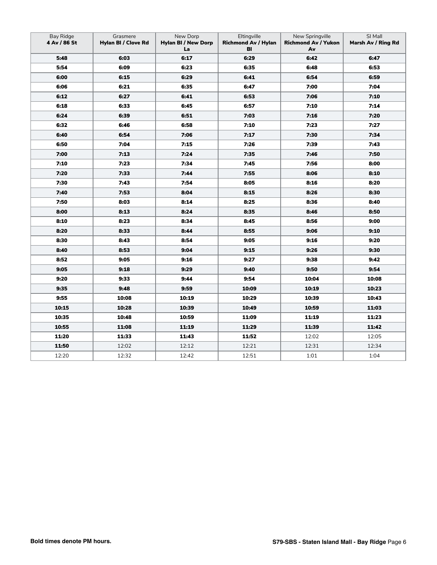| Bay Ridge<br>4 Av / 86 St | Grasmere<br>Hylan BI / Clove Rd | New Dorp<br><b>Hylan BI / New Dorp</b><br>La | Eltingville<br><b>Richmond Av / Hylan</b><br>BI | New Springville<br><b>Richmond Av / Yukon</b><br>Av | SI Mall<br>Marsh Av / Ring Rd |
|---------------------------|---------------------------------|----------------------------------------------|-------------------------------------------------|-----------------------------------------------------|-------------------------------|
| 5:48                      | 6:03                            | 6:17                                         | 6:29                                            | 6:42                                                | 6:47                          |
| 5:54                      | 6:09                            | 6:23                                         | 6:35                                            | 6:48                                                | 6:53                          |
| 6:00                      | 6:15                            | 6:29                                         | 6:41                                            | 6:54                                                | 6:59                          |
| 6:06                      | 6:21                            | 6:35                                         | 6:47                                            | 7:00                                                | 7:04                          |
| 6:12                      | 6:27                            | 6:41                                         | 6:53                                            | 7:06                                                | 7:10                          |
| 6:18                      | 6:33                            | 6:45                                         | 6:57                                            | 7:10                                                | 7:14                          |
| 6:24                      | 6:39                            | 6:51                                         | 7:03                                            | 7:16                                                | 7:20                          |
| 6:32                      | 6:46                            | 6:58                                         | 7:10                                            | 7:23                                                | 7:27                          |
| 6:40                      | 6:54                            | 7:06                                         | 7:17                                            | 7:30                                                | 7:34                          |
| 6:50                      | 7:04                            | 7:15                                         | 7:26                                            | 7:39                                                | 7:43                          |
| 7:00                      | 7:13                            | 7:24                                         | 7:35                                            | 7:46                                                | 7:50                          |
| 7:10                      | 7:23                            | 7:34                                         | 7:45                                            | 7:56                                                | 8:00                          |
| 7:20                      | 7:33                            | 7:44                                         | 7:55                                            | 8:06                                                | 8:10                          |
| 7:30                      | 7:43                            | 7:54                                         | 8:05                                            | 8:16                                                | 8:20                          |
| 7:40                      | 7:53                            | 8:04                                         | 8:15                                            | 8:26                                                | 8:30                          |
| 7:50                      | 8:03                            | 8:14                                         | 8:25                                            | 8:36                                                | 8:40                          |
| 8:00                      | 8:13                            | 8:24                                         | 8:35                                            | 8:46                                                | 8:50                          |
| 8:10                      | 8:23                            | 8:34                                         | 8:45                                            | 8:56                                                | 9:00                          |
| 8:20                      | 8:33                            | 8:44                                         | 8:55                                            | 9:06                                                | 9:10                          |
| 8:30                      | 8:43                            | 8:54                                         | 9:05                                            | 9:16                                                | 9:20                          |
| 8:40                      | 8:53                            | 9:04                                         | 9:15                                            | 9:26                                                | 9:30                          |
| 8:52                      | 9:05                            | 9:16                                         | 9:27                                            | 9:38                                                | 9:42                          |
| 9:05                      | 9:18                            | 9:29                                         | 9:40                                            | 9:50                                                | 9:54                          |
| 9:20                      | 9:33                            | 9:44                                         | 9:54                                            | 10:04                                               | 10:08                         |
| 9:35                      | 9:48                            | 9:59                                         | 10:09                                           | 10:19                                               | 10:23                         |
| 9:55                      | 10:08                           | 10:19                                        | 10:29                                           | 10:39                                               | 10:43                         |
| 10:15                     | 10:28                           | 10:39                                        | 10:49                                           | 10:59                                               | 11:03                         |
| 10:35                     | 10:48                           | 10:59                                        | 11:09                                           | 11:19                                               | 11:23                         |
| 10:55                     | 11:08                           | 11:19                                        | 11:29                                           | 11:39                                               | 11:42                         |
| 11:20                     | 11:33                           | 11:43                                        | 11:52                                           | 12:02                                               | 12:05                         |
| 11:50                     | 12:02                           | 12:12                                        | 12:21                                           | 12:31                                               | 12:34                         |
| 12:20                     | 12:32                           | 12:42                                        | 12:51                                           | 1:01                                                | 1:04                          |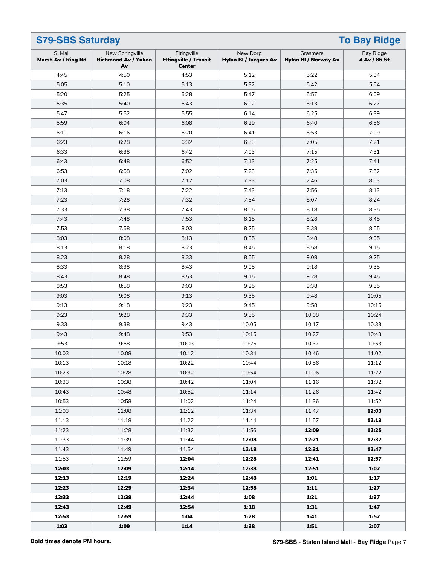| <b>S79-SBS Saturday</b>       |                                                     |                                                              |                                          |                                  | <b>To Bay Ridge</b>       |
|-------------------------------|-----------------------------------------------------|--------------------------------------------------------------|------------------------------------------|----------------------------------|---------------------------|
| SI Mall<br>Marsh Av / Ring Rd | New Springville<br><b>Richmond Av / Yukon</b><br>Av | Eltingville<br><b>Eltingville / Transit</b><br><b>Center</b> | New Dorp<br><b>Hylan BI / Jacques Av</b> | Grasmere<br>Hylan BI / Norway Av | Bay Ridge<br>4 Av / 86 St |
| 4:45                          | 4:50                                                | 4:53                                                         | 5:12                                     | 5:22                             | 5:34                      |
| 5:05                          | 5:10                                                | 5:13                                                         | 5:32                                     | 5:42                             | 5:54                      |
| 5:20                          | 5:25                                                | 5:28                                                         | 5:47                                     | 5:57                             | 6:09                      |
| 5:35                          | 5:40                                                | 5:43                                                         | 6:02                                     | 6:13                             | 6:27                      |
| 5:47                          | 5:52                                                | 5:55                                                         | 6:14                                     | 6:25                             | 6:39                      |
| 5:59                          | 6:04                                                | 6:08                                                         | 6:29                                     | 6:40                             | 6:56                      |
| 6:11                          | 6:16                                                | 6:20                                                         | 6:41                                     | 6:53                             | 7:09                      |
| 6:23                          | 6:28                                                | 6:32                                                         | 6:53                                     | 7:05                             | 7:21                      |
| 6:33                          | 6:38                                                | 6:42                                                         | 7:03                                     | 7:15                             | 7:31                      |
| 6:43                          | 6:48                                                | 6:52                                                         | 7:13                                     | 7:25                             | 7:41                      |
| 6:53                          | 6:58                                                | 7:02                                                         | 7:23                                     | 7:35                             | 7:52                      |
| 7:03                          | 7:08                                                | 7:12                                                         | 7:33                                     | 7:46                             | 8:03                      |
| 7:13                          | 7:18                                                | 7:22                                                         | 7:43                                     | 7:56                             | 8:13                      |
| 7:23                          | 7:28                                                | 7:32                                                         | 7:54                                     | 8:07                             | 8:24                      |
| 7:33                          | 7:38                                                | 7:43                                                         | 8:05                                     | 8:18                             | 8:35                      |
| 7:43                          | 7:48                                                | 7:53                                                         | 8:15                                     | 8:28                             | 8:45                      |
| 7:53                          | 7:58                                                | 8:03                                                         | 8:25                                     | 8:38                             | 8:55                      |
| 8:03                          | 8:08                                                | 8:13                                                         | 8:35                                     | 8:48                             | 9:05                      |
| 8:13                          | 8:18                                                | 8:23                                                         | 8:45                                     | 8:58                             | 9:15                      |
| 8:23                          | 8:28                                                | 8:33                                                         | 8:55                                     | 9:08                             | 9:25                      |
| 8:33                          | 8:38                                                | 8:43                                                         | 9:05                                     | 9:18                             | 9:35                      |
| 8:43                          | 8:48                                                | 8:53                                                         | 9:15                                     | 9:28                             | 9:45                      |
| 8:53                          | 8:58                                                | 9:03                                                         | 9:25                                     | 9:38                             | 9:55                      |
| 9:03                          | 9:08                                                | 9:13                                                         | 9:35                                     | 9:48                             | 10:05                     |
| 9:13                          | 9:18                                                | 9:23                                                         | 9:45                                     | 9:58                             | 10:15                     |
| 9:23                          | 9:28                                                | 9:33                                                         | 9:55                                     | 10:08                            | 10:24                     |
| 9:33                          | 9:38                                                | 9:43                                                         | 10:05                                    | 10:17                            | 10:33                     |
| 9:43                          | 9:48                                                | 9:53                                                         | 10:15                                    | 10:27                            | 10:43                     |
| 9:53                          | 9:58                                                | 10:03                                                        | 10:25                                    | 10:37                            | 10:53                     |
| 10:03                         | 10:08                                               | 10:12                                                        | 10:34                                    | 10:46                            | 11:02                     |
| 10:13                         | 10:18                                               | 10:22                                                        | 10:44                                    | 10:56                            | 11:12                     |
| 10:23                         | 10:28                                               | 10:32                                                        | 10:54                                    | 11:06                            | 11:22                     |
| 10:33                         | 10:38                                               | 10:42                                                        | 11:04                                    | 11:16                            | 11:32                     |
| 10:43                         | 10:48                                               | 10:52                                                        | 11:14                                    | 11:26                            | 11:42                     |
| 10:53                         | 10:58                                               | 11:02                                                        | 11:24                                    | 11:36                            | 11:52                     |
| 11:03                         | 11:08                                               | 11:12                                                        | 11:34                                    | 11:47                            | 12:03                     |
| 11:13                         | 11:18                                               | 11:22                                                        | 11:44                                    | 11:57                            | 12:13                     |
| 11:23                         | 11:28                                               | 11:32                                                        | 11:56                                    | 12:09                            | 12:25                     |
| 11:33                         | 11:39                                               | 11:44                                                        | 12:08                                    | 12:21                            | 12:37                     |
| 11:43                         | 11:49                                               | 11:54                                                        | 12:18                                    | 12:31                            | 12:47                     |
| 11:53                         | 11:59                                               | 12:04                                                        | 12:28                                    | 12:41                            | 12:57                     |
| 12:03                         | 12:09                                               | 12:14                                                        | 12:38                                    | 12:51                            | 1:07                      |
| 12:13                         | 12:19                                               | 12:24                                                        | 12:48                                    | 1:01                             | 1:17                      |
| 12:23                         | 12:29                                               | 12:34                                                        | 12:58                                    | 1:11                             | 1:27                      |
| 12:33                         | 12:39                                               | 12:44                                                        | 1:08                                     | 1:21                             | 1:37                      |
| 12:43                         | 12:49                                               | 12:54                                                        | 1:18                                     | 1:31                             | 1:47                      |
| 12:53                         | 12:59                                               | 1:04                                                         | 1:28                                     | 1:41                             | 1:57                      |
| 1:03                          | 1:09                                                | 1:14                                                         | 1:38                                     | 1:51                             | 2:07                      |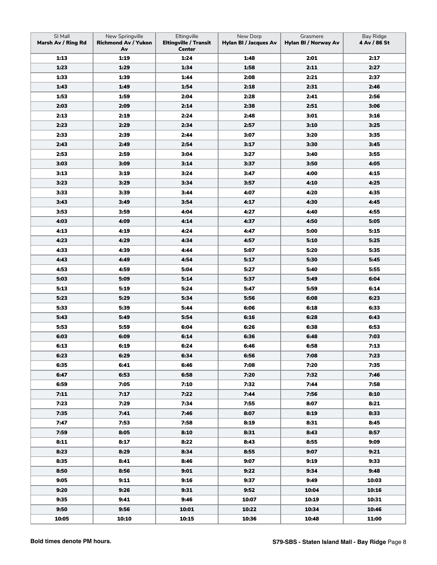| SI Mall<br>Marsh Av / Ring Rd | New Springville<br><b>Richmond Av / Yukon</b><br>Av | Eltingville<br><b>Eltingville / Transit</b><br><b>Center</b> | New Dorp<br><b>Hylan BI / Jacques Av</b> | Grasmere<br>Hylan BI / Norway Av | Bay Ridge<br>4 Av / 86 St |
|-------------------------------|-----------------------------------------------------|--------------------------------------------------------------|------------------------------------------|----------------------------------|---------------------------|
| 1:13                          | 1:19                                                | 1:24                                                         | 1:48                                     | 2:01                             | 2:17                      |
| 1:23                          | 1:29                                                | 1:34                                                         | 1:58                                     | 2:11                             | 2:27                      |
| 1:33                          | 1:39                                                | 1:44                                                         | 2:08                                     | 2:21                             | 2:37                      |
| 1:43                          | 1:49                                                | 1:54                                                         | 2:18                                     | 2:31                             | 2:46                      |
| 1:53                          | 1:59                                                | 2:04                                                         | 2:28                                     | 2:41                             | 2:56                      |
| 2:03                          | 2:09                                                | 2:14                                                         | 2:38                                     | 2:51                             | 3:06                      |
| 2:13                          | 2:19                                                | 2:24                                                         | 2:48                                     | 3:01                             | 3:16                      |
| 2:23                          | 2:29                                                | 2:34                                                         | 2:57                                     | 3:10                             | 3:25                      |
| 2:33                          | 2:39                                                | 2:44                                                         | 3:07                                     | 3:20                             | 3:35                      |
| 2:43                          | 2:49                                                | 2:54                                                         | 3:17                                     | 3:30                             | 3:45                      |
| 2:53                          | 2:59                                                | 3:04                                                         | 3:27                                     | 3:40                             | 3:55                      |
| 3:03                          | 3:09                                                | 3:14                                                         | 3:37                                     | 3:50                             | 4:05                      |
| 3:13                          | 3:19                                                | 3:24                                                         | 3:47                                     | 4:00                             | 4:15                      |
| 3:23                          | 3:29                                                | 3:34                                                         | 3:57                                     | 4:10                             | 4:25                      |
| 3:33                          | 3:39                                                | 3:44                                                         | 4:07                                     | 4:20                             | 4:35                      |
| 3:43                          | 3:49                                                | 3:54                                                         | 4:17                                     | 4:30                             | 4:45                      |
| 3:53                          | 3:59                                                | 4:04                                                         | 4:27                                     | 4:40                             | 4:55                      |
| 4:03                          | 4:09                                                | 4:14                                                         | 4:37                                     | 4:50                             | 5:05                      |
| 4:13                          | 4:19                                                | 4:24                                                         | 4:47                                     | 5:00                             | 5:15                      |
| 4:23                          | 4:29                                                | 4:34                                                         | 4:57                                     | 5:10                             | 5:25                      |
| 4:33                          | 4:39                                                | 4:44                                                         | 5:07                                     | 5:20                             | 5:35                      |
| 4:43                          | 4:49                                                | 4:54                                                         | 5:17                                     | 5:30                             | 5:45                      |
| 4:53                          | 4:59                                                | 5:04                                                         | 5:27                                     | 5:40                             | 5:55                      |
| 5:03                          | 5:09                                                | 5:14                                                         | 5:37                                     | 5:49                             | 6:04                      |
| 5:13                          | 5:19                                                | 5:24                                                         | 5:47                                     | 5:59                             | 6:14                      |
| 5:23                          | 5:29                                                | 5:34                                                         | 5:56                                     | 6:08                             | 6:23                      |
| 5:33                          | 5:39                                                | 5:44                                                         | 6:06                                     | 6:18                             | 6:33                      |
| 5:43                          | 5:49                                                | 5:54                                                         | 6:16                                     | 6:28                             | 6:43                      |
| 5:53                          | 5:59                                                | 6:04                                                         | 6:26                                     | 6:38                             | 6:53                      |
| 6:03                          | 6:09                                                | 6:14                                                         | 6:36                                     | 6:48                             | 7:03                      |
| 6:13                          | 6:19                                                | 6:24                                                         | 6:46                                     | 6:58                             | 7:13                      |
| 6:23                          | 6:29                                                | 6:34                                                         | 6:56                                     | 7:08                             | 7:23                      |
| 6:35                          | 6:41                                                | 6:46                                                         | 7:08                                     | 7:20                             | 7:35                      |
| 6:47                          | 6:53                                                | 6:58                                                         | 7:20                                     | 7:32                             | 7:46                      |
| 6:59                          | 7:05                                                | 7:10                                                         | 7:32                                     | 7:44                             | 7:58                      |
| 7:11                          | 7:17                                                | 7:22                                                         | 7:44                                     | 7:56                             | 8:10                      |
| 7:23                          | 7:29                                                | 7:34                                                         | 7:55                                     | 8:07                             | 8:21                      |
| 7:35                          | 7:41                                                | 7:46                                                         | 8:07                                     | 8:19                             | 8:33                      |
| 7:47                          | 7:53                                                | 7:58                                                         | 8:19                                     | 8:31                             | 8:45                      |
| 7:59                          | 8:05                                                | 8:10                                                         | 8:31                                     | 8:43                             | 8:57                      |
| 8:11                          | 8:17                                                | 8:22                                                         | 8:43                                     | 8:55                             | 9:09                      |
| 8:23                          | 8:29                                                | 8:34                                                         | 8:55                                     | 9:07                             | 9:21                      |
| 8:35                          | 8:41                                                | 8:46                                                         | 9:07                                     | 9:19                             | 9:33                      |
| 8:50                          | 8:56                                                | 9:01                                                         | 9:22                                     | 9:34                             | 9:48                      |
| 9:05                          | 9:11                                                | 9:16                                                         | 9:37                                     | 9:49                             | 10:03                     |
| 9:20                          | 9:26                                                | 9:31                                                         | 9:52                                     | 10:04                            | 10:16                     |
| 9:35                          | 9:41                                                | 9:46                                                         | 10:07                                    | 10:19                            | 10:31                     |
| 9:50                          | 9:56                                                | 10:01                                                        | 10:22                                    | 10:34                            | 10:46                     |
| 10:05                         | 10:10                                               | 10:15                                                        | 10:36                                    | 10:48                            | 11:00                     |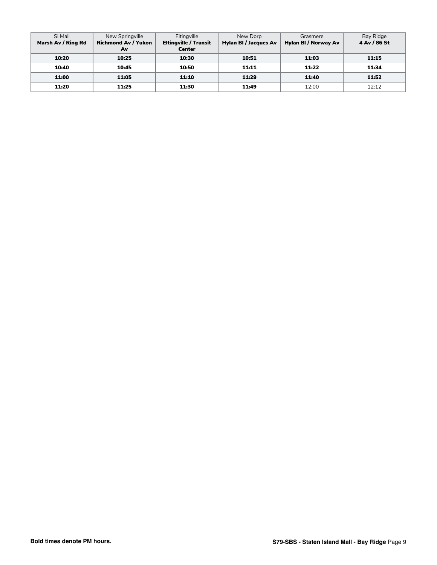| SI Mall            | New Springville            | Eltingville                  | New Dorp                     | Grasmere             | Bay Ridge    |
|--------------------|----------------------------|------------------------------|------------------------------|----------------------|--------------|
| Marsh Av / Ring Rd | <b>Richmond Av / Yukon</b> | <b>Eltingville / Transit</b> | <b>Hylan BI / Jacques Av</b> | Hylan BI / Norway Av | 4 Av / 86 St |
|                    | Av                         | Center                       |                              |                      |              |
| 10:20              | 10:25                      | 10:30                        | 10:51                        | 11:03                | 11:15        |
| 10:40              | 10:45                      | 10:50                        | 11:11                        | 11:22                | 11:34        |
| 11:00              | 11:05                      | 11:10                        | 11:29                        | 11:40                | 11:52        |
| 11:20              | 11:25                      | 11:30                        | 11:49                        | 12:00                | 12:12        |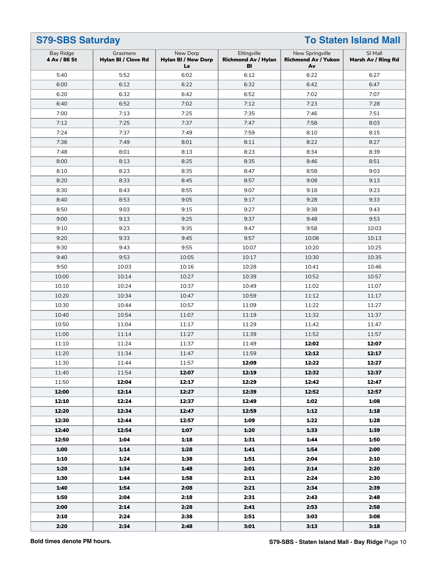|                           | <b>S79-SBS Saturday</b><br><b>To Staten Island Mall</b> |                                              |                                                 |                                                     |                               |
|---------------------------|---------------------------------------------------------|----------------------------------------------|-------------------------------------------------|-----------------------------------------------------|-------------------------------|
| Bay Ridge<br>4 Av / 86 St | Grasmere<br>Hylan BI / Clove Rd                         | New Dorp<br><b>Hylan BI / New Dorp</b><br>La | Eltingville<br><b>Richmond Av / Hylan</b><br>BI | New Springville<br><b>Richmond Av / Yukon</b><br>Av | SI Mall<br>Marsh Av / Ring Rd |
| 5:40                      | 5:52                                                    | 6:02                                         | 6:12                                            | 6:22                                                | 6:27                          |
| 6:00                      | 6:12                                                    | 6:22                                         | 6:32                                            | 6:42                                                | 6:47                          |
| 6:20                      | 6:32                                                    | 6:42                                         | 6:52                                            | 7:02                                                | 7:07                          |
| 6:40                      | 6:52                                                    | 7:02                                         | 7:12                                            | 7:23                                                | 7:28                          |
| 7:00                      | 7:13                                                    | 7:25                                         | 7:35                                            | 7:46                                                | 7:51                          |
| 7:12                      | 7:25                                                    | 7:37                                         | 7:47                                            | 7:58                                                | 8:03                          |
| 7:24                      | 7:37                                                    | 7:49                                         | 7:59                                            | 8:10                                                | 8:15                          |
| 7:36                      | 7:49                                                    | 8:01                                         | 8:11                                            | 8:22                                                | 8:27                          |
| 7:48                      | 8:01                                                    | 8:13                                         | 8:23                                            | 8:34                                                | 8:39                          |
| 8:00                      | 8:13                                                    | 8:25                                         | 8:35                                            | 8:46                                                | 8:51                          |
| 8:10                      | 8:23                                                    | 8:35                                         | 8:47                                            | 8:58                                                | 9:03                          |
| 8:20                      | 8:33                                                    | 8:45                                         | 8:57                                            | 9:08                                                | 9:13                          |
| 8:30                      | 8:43                                                    | 8:55                                         | 9:07                                            | 9:18                                                | 9:23                          |
| 8:40                      | 8:53                                                    | 9:05                                         | 9:17                                            | 9:28                                                | 9:33                          |
| 8:50                      | 9:03                                                    | 9:15                                         | 9:27                                            | 9:38                                                | 9:43                          |
| 9:00                      | 9:13                                                    | 9:25                                         | 9:37                                            | 9:48                                                | 9:53                          |
| 9:10                      | 9:23                                                    | 9:35                                         | 9:47                                            | 9:58                                                | 10:03                         |
| 9:20                      | 9:33                                                    | 9:45                                         | 9:57                                            | 10:08                                               | 10:13                         |
| 9:30                      | 9:43                                                    | 9:55                                         | 10:07                                           | 10:20                                               | 10:25                         |
| 9:40                      | 9:53                                                    | 10:05                                        | 10:17                                           | 10:30                                               | 10:35                         |
| 9:50                      | 10:03                                                   | 10:16                                        | 10:28                                           | 10:41                                               | 10:46                         |
| 10:00                     | 10:14                                                   | 10:27                                        | 10:39                                           | 10:52                                               | 10:57                         |
| 10:10                     | 10:24                                                   | 10:37                                        | 10:49                                           | 11:02                                               | 11:07                         |
| 10:20                     | 10:34                                                   | 10:47                                        | 10:59                                           | 11:12                                               | 11:17                         |
| 10:30                     | 10:44                                                   | 10:57                                        | 11:09                                           | 11:22                                               | 11:27                         |
| 10:40                     | 10:54                                                   | 11:07                                        | 11:19                                           | 11:32                                               | 11:37                         |
| 10:50                     | 11:04                                                   | 11:17                                        | 11:29                                           | 11:42                                               | 11:47                         |
| 11:00                     | 11:14                                                   | 11:27                                        | 11:39                                           | 11:52                                               | 11:57                         |
| 11:10                     | 11:24                                                   | 11:37                                        | 11:49                                           | 12:02                                               | 12:07                         |
| 11:20                     | 11:34                                                   | 11:47                                        | 11:59                                           | 12:12                                               | 12:17                         |
| 11:30                     | 11:44                                                   | 11:57                                        | 12:09                                           | 12:22                                               | 12:27                         |
| 11:40                     | 11:54                                                   | 12:07                                        | 12:19                                           | 12:32                                               | 12:37                         |
| 11:50                     | 12:04                                                   | 12:17                                        | 12:29                                           | 12:42                                               | 12:47                         |
| 12:00                     | 12:14                                                   | 12:27                                        | 12:39                                           | 12:52                                               | 12:57                         |
| 12:10                     | 12:24                                                   | 12:37                                        | 12:49                                           | 1:02                                                | 1:08                          |
| 12:20                     | 12:34                                                   | 12:47                                        | 12:59                                           | 1:12                                                | 1:18                          |
| 12:30                     | 12:44                                                   | 12:57                                        | 1:09                                            | 1:22                                                | 1:28                          |
| 12:40                     | 12:54                                                   | 1:07                                         | 1:20                                            | 1:33                                                | 1:39                          |
| 12:50                     | 1:04                                                    | 1:18                                         | 1:31                                            | 1:44                                                | 1:50                          |
| 1:00                      | 1:14                                                    | 1:28                                         | 1:41                                            | 1:54                                                | 2:00                          |
| 1:10                      | 1:24                                                    | 1:38                                         | 1:51                                            | 2:04                                                | 2:10                          |
| 1:20                      | 1:34                                                    | 1:48                                         | 2:01                                            | 2:14                                                | 2:20                          |
| 1:30                      | 1:44                                                    | 1:58                                         | 2:11                                            | 2:24                                                | 2:30                          |
| 1:40                      | 1:54                                                    | 2:08                                         | 2:21                                            | 2:34                                                | 2:39                          |
| 1:50                      | 2:04                                                    | 2:18                                         | 2:31                                            | 2:43                                                | 2:48                          |
| 2:00                      | 2:14                                                    | 2:28                                         | 2:41                                            | 2:53                                                | 2:58                          |
| 2:10                      | 2:24                                                    | 2:38                                         | 2:51                                            | 3:03                                                | 3:08                          |
| 2:20                      | 2:34                                                    | 2:48                                         | 3:01                                            | 3:13                                                | 3:18                          |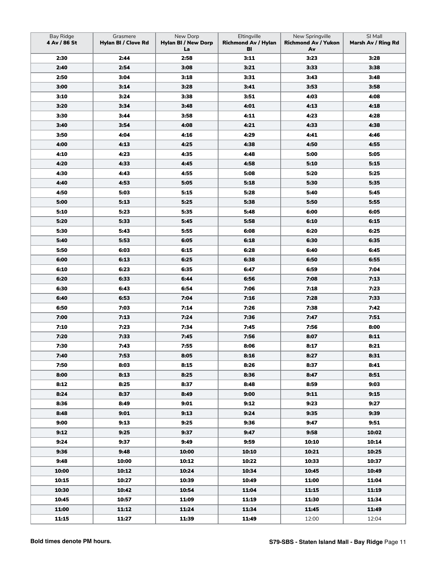| Bay Ridge<br>4 Av / 86 St | Grasmere<br>Hylan BI / Clove Rd | New Dorp<br><b>Hylan BI / New Dorp</b><br>La | Eltingville<br><b>Richmond Av / Hylan</b><br>BI | New Springville<br><b>Richmond Av / Yukon</b><br>Av | SI Mall<br>Marsh Av / Ring Rd |
|---------------------------|---------------------------------|----------------------------------------------|-------------------------------------------------|-----------------------------------------------------|-------------------------------|
| 2:30                      | 2:44                            | 2:58                                         | 3:11                                            | 3:23                                                | 3:28                          |
| 2:40                      | 2:54                            | 3:08                                         | 3:21                                            | 3:33                                                | 3:38                          |
| 2:50                      | 3:04                            | 3:18                                         | 3:31                                            | 3:43                                                | 3:48                          |
| 3:00                      | 3:14                            | 3:28                                         | 3:41                                            | 3:53                                                | 3:58                          |
| 3:10                      | 3:24                            | 3:38                                         | 3:51                                            | 4:03                                                | 4:08                          |
| 3:20                      | 3:34                            | 3:48                                         | 4:01                                            | 4:13                                                | 4:18                          |
| 3:30                      | 3:44                            | 3:58                                         | 4:11                                            | 4:23                                                | 4:28                          |
| 3:40                      | 3:54                            | 4:08                                         | 4:21                                            | 4:33                                                | 4:38                          |
| 3:50                      | 4:04                            | 4:16                                         | 4:29                                            | 4:41                                                | 4:46                          |
| 4:00                      | 4:13                            | 4:25                                         | 4:38                                            | 4:50                                                | 4:55                          |
| 4:10                      | 4:23                            | 4:35                                         | 4:48                                            | 5:00                                                | 5:05                          |
| 4:20                      | 4:33                            | 4:45                                         | 4:58                                            | 5:10                                                | 5:15                          |
| 4:30                      | 4:43                            | 4:55                                         | 5:08                                            | 5:20                                                | 5:25                          |
| 4:40                      | 4:53                            | 5:05                                         | 5:18                                            | 5:30                                                | 5:35                          |
| 4:50                      | 5:03                            | 5:15                                         | 5:28                                            | 5:40                                                | 5:45                          |
| 5:00                      | 5:13                            | 5:25                                         | 5:38                                            | 5:50                                                | 5:55                          |
| 5:10                      | 5:23                            | 5:35                                         | 5:48                                            | 6:00                                                | 6:05                          |
| 5:20                      | 5:33                            | 5:45                                         | 5:58                                            | 6:10                                                | 6:15                          |
| 5:30                      | 5:43                            | 5:55                                         | 6:08                                            | 6:20                                                | 6:25                          |
| 5:40                      | 5:53                            | 6:05                                         | 6:18                                            | 6:30                                                | 6:35                          |
| 5:50                      | 6:03                            | 6:15                                         | 6:28                                            | 6:40                                                | 6:45                          |
| 6:00                      | 6:13                            | 6:25                                         | 6:38                                            | 6:50                                                | 6:55                          |
| 6:10                      | 6:23                            | 6:35                                         | 6:47                                            | 6:59                                                | 7:04                          |
| 6:20                      | 6:33                            | 6:44                                         | 6:56                                            | 7:08                                                | 7:13                          |
| 6:30                      | 6:43                            | 6:54                                         | 7:06                                            | 7:18                                                | 7:23                          |
| 6:40                      | 6:53                            | 7:04                                         | 7:16                                            | 7:28                                                | 7:33                          |
| 6:50                      | 7:03                            | 7:14                                         | 7:26                                            | 7:38                                                | 7:42                          |
| 7:00                      | 7:13                            | 7:24                                         | 7:36                                            | 7:47                                                | 7:51                          |
| 7:10                      | 7:23                            | 7:34                                         | 7:45                                            | 7:56                                                | 8:00                          |
| 7:20                      | 7:33                            | 7:45                                         | 7:56                                            | 8:07                                                | 8:11                          |
| 7:30                      | 7:43                            | 7:55                                         | 8:06                                            | 8:17                                                | 8:21                          |
| 7:40                      | 7:53                            | 8:05                                         | 8:16                                            | 8:27                                                | 8:31                          |
| 7:50                      | 8:03                            | 8:15                                         | 8:26                                            | 8:37                                                | 8:41                          |
| 8:00                      | 8:13                            | 8:25                                         | 8:36                                            | 8:47                                                | 8:51                          |
| 8:12                      | 8:25                            | 8:37                                         | 8:48                                            | 8:59                                                | 9:03                          |
| 8:24                      | 8:37                            | 8:49                                         | 9:00                                            | 9:11                                                | 9:15                          |
| 8:36                      | 8:49                            | 9:01                                         | 9:12                                            | 9:23                                                | 9:27                          |
| 8:48                      | 9:01                            | 9:13                                         | 9:24                                            | 9:35                                                | 9:39                          |
| 9:00                      | 9:13                            | 9:25                                         | 9:36                                            | 9:47                                                | 9:51                          |
| 9:12                      | 9:25                            | 9:37                                         | 9:47                                            | 9:58                                                | 10:02                         |
| 9:24                      | 9:37                            | 9:49                                         | 9:59                                            | 10:10                                               | 10:14                         |
| 9:36                      | 9:48                            | 10:00                                        | 10:10                                           | 10:21                                               | 10:25                         |
| 9:48                      | 10:00                           | 10:12                                        | 10:22                                           | 10:33                                               | 10:37                         |
| 10:00                     | 10:12                           | 10:24                                        | 10:34                                           | 10:45                                               | 10:49                         |
| 10:15                     | 10:27                           | 10:39                                        | 10:49                                           | 11:00                                               | 11:04                         |
| 10:30                     | 10:42                           | 10:54                                        | 11:04                                           | 11:15                                               | 11:19                         |
| 10:45                     | 10:57                           | 11:09                                        | 11:19                                           | 11:30                                               | 11:34                         |
| 11:00                     | 11:12                           | 11:24                                        | 11:34                                           | 11:45                                               | 11:49                         |
| 11:15                     | 11:27                           | 11:39                                        | 11:49                                           | 12:00                                               | 12:04                         |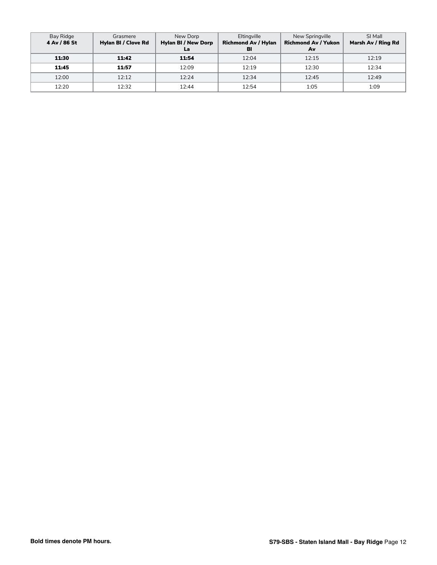| Bay Ridge<br>4 Av / 86 St | Grasmere<br>Hylan BI / Clove Rd | New Dorp<br><b>Hylan BI / New Dorp</b><br>La | Eltingville<br><b>Richmond Av / Hylan</b><br>BI | New Springville<br><b>Richmond Av / Yukon</b><br>Av | SI Mall<br>Marsh Av / Ring Rd |
|---------------------------|---------------------------------|----------------------------------------------|-------------------------------------------------|-----------------------------------------------------|-------------------------------|
| 11:30                     | 11:42                           | 11:54                                        | 12:04                                           | 12:15                                               | 12:19                         |
| 11:45                     | 11:57                           | 12:09                                        | 12:19                                           | 12:30                                               | 12:34                         |
| 12:00                     | 12:12                           | 12:24                                        | 12:34                                           | 12:45                                               | 12:49                         |
| 12:20                     | 12:32                           | 12:44                                        | 12:54                                           | 1:05                                                | 1:09                          |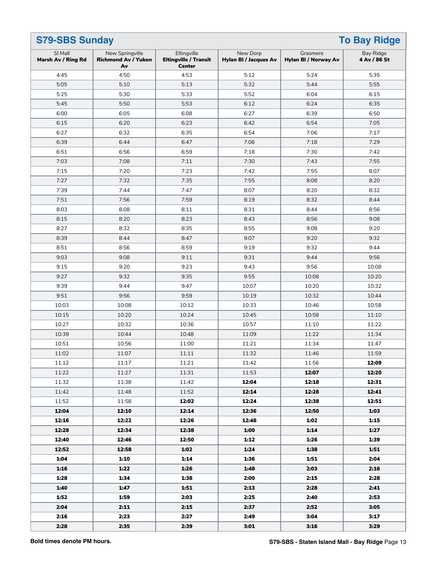| <b>S79-SBS Sunday</b><br><b>To Bay Ridge</b> |                                                     |                                                              |                                          |                                  |                           |
|----------------------------------------------|-----------------------------------------------------|--------------------------------------------------------------|------------------------------------------|----------------------------------|---------------------------|
| SI Mall<br>Marsh Av / Ring Rd                | New Springville<br><b>Richmond Av / Yukon</b><br>Av | Eltingville<br><b>Eltingville / Transit</b><br><b>Center</b> | New Dorp<br><b>Hylan BI / Jacques Av</b> | Grasmere<br>Hylan BI / Norway Av | Bay Ridge<br>4 Av / 86 St |
| 4:45                                         | 4:50                                                | 4:53                                                         | 5:12                                     | 5:24                             | 5:35                      |
| 5:05                                         | 5:10                                                | 5:13                                                         | 5:32                                     | 5:44                             | 5:55                      |
| 5:25                                         | 5:30                                                | 5:33                                                         | 5:52                                     | 6:04                             | 6:15                      |
| 5:45                                         | 5:50                                                | 5:53                                                         | 6:12                                     | 6:24                             | 6:35                      |
| 6:00                                         | 6:05                                                | 6:08                                                         | 6:27                                     | 6:39                             | 6:50                      |
| 6:15                                         | 6:20                                                | 6:23                                                         | 6:42                                     | 6:54                             | 7:05                      |
| 6:27                                         | 6:32                                                | 6:35                                                         | 6:54                                     | 7:06                             | 7:17                      |
| 6:39                                         | 6:44                                                | 6:47                                                         | 7:06                                     | 7:18                             | 7:29                      |
| 6:51                                         | 6:56                                                | 6:59                                                         | 7:18                                     | 7:30                             | 7:42                      |
| 7:03                                         | 7:08                                                | 7:11                                                         | 7:30                                     | 7:43                             | 7:55                      |
| 7:15                                         | 7:20                                                | 7:23                                                         | 7:42                                     | 7:55                             | 8:07                      |
| 7:27                                         | 7:32                                                | 7:35                                                         | 7:55                                     | 8:08                             | 8:20                      |
| 7:39                                         | 7:44                                                | 7:47                                                         | 8:07                                     | 8:20                             | 8:32                      |
| 7:51                                         | 7:56                                                | 7:59                                                         | 8:19                                     | 8:32                             | 8:44                      |
| 8:03                                         | 8:08                                                | 8:11                                                         | 8:31                                     | 8:44                             | 8:56                      |
| 8:15                                         | 8:20                                                | 8:23                                                         | 8:43                                     | 8:56                             | 9:08                      |
| 8:27                                         | 8:32                                                | 8:35                                                         | 8:55                                     | 9:08                             | 9:20                      |
| 8:39                                         | 8:44                                                | 8:47                                                         | 9:07                                     | 9:20                             | 9:32                      |
| 8:51                                         | 8:56                                                | 8:59                                                         | 9:19                                     | 9:32                             | 9:44                      |
| 9:03                                         | 9:08                                                | 9:11                                                         | 9:31                                     | 9:44                             | 9:56                      |
| 9:15                                         | 9:20                                                | 9:23                                                         | 9:43                                     | 9:56                             | 10:08                     |
| 9:27                                         | 9:32                                                | 9:35                                                         | 9:55                                     | 10:08                            | 10:20                     |
| 9:39                                         | 9:44                                                | 9:47                                                         | 10:07                                    | 10:20                            | 10:32                     |
| 9:51                                         | 9:56                                                | 9:59                                                         | 10:19                                    | 10:32                            | 10:44                     |
| 10:03                                        | 10:08                                               | 10:12                                                        | 10:33                                    | 10:46                            | 10:58                     |
| 10:15                                        | 10:20                                               | 10:24                                                        | 10:45                                    | 10:58                            | 11:10                     |
| 10:27                                        | 10:32                                               | 10:36                                                        | 10:57                                    | 11:10                            | 11:22                     |
| 10:39                                        | 10:44                                               | 10:48                                                        | 11:09                                    | 11:22                            | 11:34                     |
| 10:51                                        | 10:56                                               | 11:00                                                        | 11:21                                    | 11:34                            | 11:47                     |
| 11:02                                        | 11:07                                               | 11:11                                                        | 11:32                                    | 11:46                            | 11:59                     |
| 11:12                                        | 11:17                                               | 11:21                                                        | 11:42                                    | 11:56                            | 12:09                     |
| 11:22                                        | 11:27                                               | 11:31                                                        | 11:53                                    | 12:07                            | 12:20                     |
| 11:32                                        | 11:38                                               | 11:42                                                        | 12:04                                    | 12:18                            | 12:31                     |
| 11:42                                        | 11:48                                               | 11:52                                                        | 12:14                                    | 12:28                            | 12:41                     |
| 11:52                                        | 11:58                                               | 12:02                                                        | 12:24                                    | 12:38                            | 12:51                     |
| 12:04                                        | 12:10                                               | 12:14                                                        | 12:36                                    | 12:50                            | 1:03                      |
| 12:16                                        | 12:22                                               | 12:26                                                        | 12:48                                    | 1:02                             | 1:15                      |
| 12:28                                        | 12:34                                               | 12:38                                                        | 1:00                                     | 1:14                             | 1:27                      |
| 12:40                                        | 12:46                                               | 12:50                                                        | 1:12                                     | 1:26                             | 1:39                      |
| 12:52                                        | 12:58                                               | 1:02                                                         | 1:24                                     | 1:38                             | 1:51                      |
| 1:04                                         | 1:10                                                | 1:14                                                         | 1:36                                     | 1:51                             | 2:04                      |
| 1:16                                         | 1:22                                                | 1:26                                                         | 1:48                                     | 2:03                             | 2:16                      |
| 1:28                                         | 1:34                                                | 1:38                                                         | 2:00                                     | 2:15                             | 2:28                      |
| 1:40                                         | 1:47                                                | 1:51                                                         | 2:13                                     | 2:28                             | 2:41                      |
| 1:52                                         | 1:59                                                | 2:03                                                         | 2:25                                     | 2:40                             | 2:53                      |
| 2:04                                         | 2:11                                                | 2:15                                                         | 2:37                                     | 2:52                             | 3:05                      |
| 2:16                                         | 2:23                                                | 2:27                                                         | 2:49                                     | 3:04                             | 3:17                      |
| 2:28                                         | 2:35                                                | 2:39                                                         | 3:01                                     | 3:16                             | 3:29                      |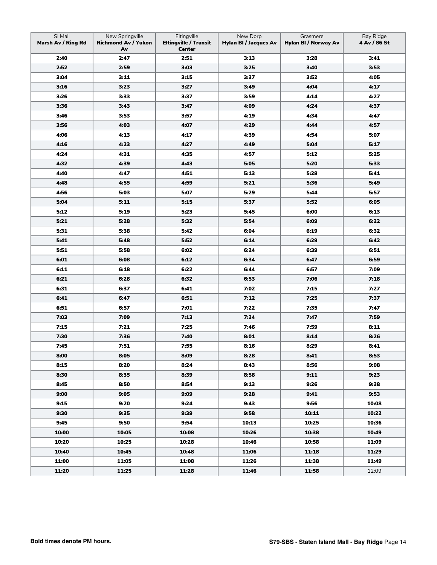| SI Mall<br>Marsh Av / Ring Rd | New Springville<br><b>Richmond Av / Yukon</b><br>Av | Eltingville<br><b>Eltingville / Transit</b><br><b>Center</b> | New Dorp<br><b>Hylan BI / Jacques Av</b> | Grasmere<br>Hylan BI / Norway Av | Bay Ridge<br>4 Av / 86 St |
|-------------------------------|-----------------------------------------------------|--------------------------------------------------------------|------------------------------------------|----------------------------------|---------------------------|
| 2:40                          | 2:47                                                | 2:51                                                         | 3:13                                     | 3:28                             | 3:41                      |
| 2:52                          | 2:59                                                | 3:03                                                         | 3:25                                     | 3:40                             | 3:53                      |
| 3:04                          | 3:11                                                | 3:15                                                         | 3:37                                     | 3:52                             | 4:05                      |
| 3:16                          | 3:23                                                | 3:27                                                         | 3:49                                     | 4:04                             | 4:17                      |
| 3:26                          | 3:33                                                | 3:37                                                         | 3:59                                     | 4:14                             | 4:27                      |
| 3:36                          | 3:43                                                | 3:47                                                         | 4:09                                     | 4:24                             | 4:37                      |
| 3:46                          | 3:53                                                | 3:57                                                         | 4:19                                     | 4:34                             | 4:47                      |
| 3:56                          | 4:03                                                | 4:07                                                         | 4:29                                     | 4:44                             | 4:57                      |
| 4:06                          | 4:13                                                | 4:17                                                         | 4:39                                     | 4:54                             | 5:07                      |
| 4:16                          | 4:23                                                | 4:27                                                         | 4:49                                     | 5:04                             | 5:17                      |
| 4:24                          | 4:31                                                | 4:35                                                         | 4:57                                     | 5:12                             | 5:25                      |
| 4:32                          | 4:39                                                | 4:43                                                         | 5:05                                     | 5:20                             | 5:33                      |
| 4:40                          | 4:47                                                | 4:51                                                         | 5:13                                     | 5:28                             | 5:41                      |
| 4:48                          | 4:55                                                | 4:59                                                         | 5:21                                     | 5:36                             | 5:49                      |
| 4:56                          | 5:03                                                | 5:07                                                         | 5:29                                     | 5:44                             | 5:57                      |
| 5:04                          | 5:11                                                | 5:15                                                         | 5:37                                     | 5:52                             | 6:05                      |
| 5:12                          | 5:19                                                | 5:23                                                         | 5:45                                     | 6:00                             | 6:13                      |
| 5:21                          | 5:28                                                | 5:32                                                         | 5:54                                     | 6:09                             | 6:22                      |
| 5:31                          | 5:38                                                | 5:42                                                         | 6:04                                     | 6:19                             | 6:32                      |
| 5:41                          | 5:48                                                | 5:52                                                         | 6:14                                     | 6:29                             | 6:42                      |
| 5:51                          | 5:58                                                | 6:02                                                         | 6:24                                     | 6:39                             | 6:51                      |
| 6:01                          | 6:08                                                | 6:12                                                         | 6:34                                     | 6:47                             | 6:59                      |
| 6:11                          | 6:18                                                | 6:22                                                         | 6:44                                     | 6:57                             | 7:09                      |
| 6:21                          | 6:28                                                | 6:32                                                         | 6:53                                     | 7:06                             | 7:18                      |
| 6:31                          | 6:37                                                | 6:41                                                         | 7:02                                     | 7:15                             | 7:27                      |
| 6:41                          | 6:47                                                | 6:51                                                         | 7:12                                     | 7:25                             | 7:37                      |
| 6:51                          | 6:57                                                | 7:01                                                         | 7:22                                     | 7:35                             | 7:47                      |
| 7:03                          | 7:09                                                | 7:13                                                         | 7:34                                     | 7:47                             | 7:59                      |
| 7:15                          | 7:21                                                | 7:25                                                         | 7:46                                     | 7:59                             | 8:11                      |
|                               |                                                     |                                                              |                                          |                                  |                           |
| 7:30                          | 7:36                                                | 7:40<br>7:55                                                 | 8:01                                     | 8:14                             | 8:26                      |
| 7:45                          | 7:51                                                |                                                              | 8:16                                     | 8:29                             | 8:41                      |
| 8:00                          | 8:05                                                | 8:09                                                         | 8:28                                     | 8:41                             | 8:53                      |
| 8:15                          | 8:20                                                | 8:24                                                         | 8:43                                     | 8:56                             | 9:08                      |
| 8:30                          | 8:35                                                | 8:39                                                         | 8:58                                     | 9:11                             | 9:23                      |
| 8:45                          | 8:50                                                | 8:54                                                         | 9:13                                     | 9:26                             | 9:38                      |
| 9:00                          | 9:05                                                | 9:09                                                         | 9:28                                     | 9:41                             | 9:53                      |
| 9:15                          | 9:20                                                | 9:24                                                         | 9:43                                     | 9:56                             | 10:08                     |
| 9:30                          | 9:35                                                | 9:39                                                         | 9:58                                     | 10:11                            | 10:22                     |
| 9:45                          | 9:50                                                | 9:54                                                         | 10:13                                    | 10:25                            | 10:36                     |
| 10:00                         | 10:05                                               | 10:08                                                        | 10:26                                    | 10:38                            | 10:49                     |
| 10:20                         | 10:25                                               | 10:28                                                        | 10:46                                    | 10:58                            | 11:09                     |
| 10:40                         | 10:45                                               | 10:48                                                        | 11:06                                    | 11:18                            | 11:29                     |
| 11:00                         | 11:05                                               | 11:08                                                        | 11:26                                    | 11:38                            | 11:49                     |
| 11:20                         | 11:25                                               | 11:28                                                        | 11:46                                    | 11:58                            | 12:09                     |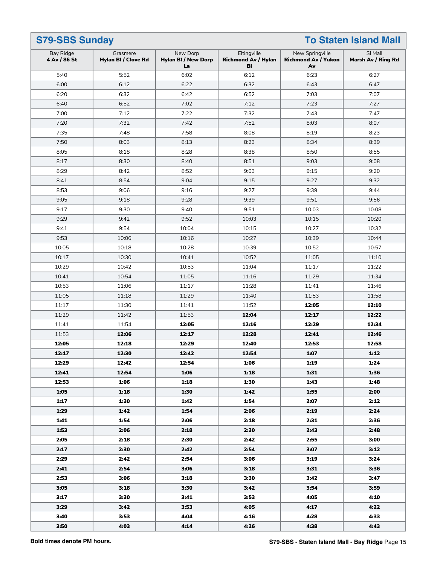| <b>S79-SBS Sunday</b><br><b>To Staten Island Mall</b> |                                 |                                              |                                                 |                                                     |                               |
|-------------------------------------------------------|---------------------------------|----------------------------------------------|-------------------------------------------------|-----------------------------------------------------|-------------------------------|
| Bay Ridge<br>4 Av / 86 St                             | Grasmere<br>Hylan BI / Clove Rd | New Dorp<br><b>Hylan BI / New Dorp</b><br>La | Eltingville<br><b>Richmond Av / Hylan</b><br>BI | New Springville<br><b>Richmond Av / Yukon</b><br>Av | SI Mall<br>Marsh Av / Ring Rd |
| 5:40                                                  | 5:52                            | 6:02                                         | 6:12                                            | 6:23                                                | 6:27                          |
| 6:00                                                  | 6:12                            | 6:22                                         | 6:32                                            | 6:43                                                | 6:47                          |
| 6:20                                                  | 6:32                            | 6:42                                         | 6:52                                            | 7:03                                                | 7:07                          |
| 6:40                                                  | 6:52                            | 7:02                                         | 7:12                                            | 7:23                                                | 7:27                          |
| 7:00                                                  | 7:12                            | 7:22                                         | 7:32                                            | 7:43                                                | 7:47                          |
| 7:20                                                  | 7:32                            | 7:42                                         | 7:52                                            | 8:03                                                | 8:07                          |
| 7:35                                                  | 7:48                            | 7:58                                         | 8:08                                            | 8:19                                                | 8:23                          |
| 7:50                                                  | 8:03                            | 8:13                                         | 8:23                                            | 8:34                                                | 8:39                          |
| 8:05                                                  | 8:18                            | 8:28                                         | 8:38                                            | 8:50                                                | 8:55                          |
| 8:17                                                  | 8:30                            | 8:40                                         | 8:51                                            | 9:03                                                | 9:08                          |
| 8:29                                                  | 8:42                            | 8:52                                         | 9:03                                            | 9:15                                                | 9:20                          |
| 8:41                                                  | 8:54                            | 9:04                                         | 9:15                                            | 9:27                                                | 9:32                          |
| 8:53                                                  | 9:06                            | 9:16                                         | 9:27                                            | 9:39                                                | 9:44                          |
| 9:05                                                  | 9:18                            | 9:28                                         | 9:39                                            | 9:51                                                | 9:56                          |
| 9:17                                                  | 9:30                            | 9:40                                         | 9:51                                            | 10:03                                               | 10:08                         |
| 9:29                                                  | 9:42                            | 9:52                                         | 10:03                                           | 10:15                                               | 10:20                         |
| 9:41                                                  | 9:54                            | 10:04                                        | 10:15                                           | 10:27                                               | 10:32                         |
| 9:53                                                  | 10:06                           | 10:16                                        | 10:27                                           | 10:39                                               | 10:44                         |
| 10:05                                                 | 10:18                           | 10:28                                        | 10:39                                           | 10:52                                               | 10:57                         |
| 10:17                                                 | 10:30                           | 10:41                                        | 10:52                                           | 11:05                                               | 11:10                         |
| 10:29                                                 | 10:42                           | 10:53                                        | 11:04                                           | 11:17                                               | 11:22                         |
| 10:41                                                 | 10:54                           | 11:05                                        | 11:16                                           | 11:29                                               | 11:34                         |
| 10:53                                                 | 11:06                           | 11:17                                        | 11:28                                           | 11:41                                               | 11:46                         |
| 11:05                                                 | 11:18                           | 11:29                                        | 11:40                                           | 11:53                                               | 11:58                         |
| 11:17                                                 | 11:30                           | 11:41                                        | 11:52                                           | 12:05                                               | 12:10                         |
| 11:29                                                 | 11:42                           | 11:53                                        | 12:04                                           | 12:17                                               | 12:22                         |
| 11:41                                                 | 11:54                           | 12:05                                        | 12:16                                           | 12:29                                               | 12:34                         |
| 11:53                                                 | 12:06                           | 12:17                                        | 12:28                                           | 12:41                                               | 12:46                         |
| 12:05                                                 | 12:18                           | 12:29                                        | 12:40                                           | 12:53                                               | 12:58                         |
| 12:17                                                 | 12:30                           | 12:42                                        | 12:54                                           | 1:07                                                | 1:12                          |
| 12:29                                                 | 12:42                           | 12:54                                        | 1:06                                            | 1:19                                                | 1:24                          |
| 12:41                                                 | 12:54                           | 1:06                                         | 1:18                                            | 1:31                                                | 1:36                          |
| 12:53                                                 | 1:06                            | 1:18                                         | 1:30                                            | 1:43                                                | 1:48                          |
| 1:05                                                  | 1:18                            | 1:30                                         | 1:42                                            | 1:55                                                | 2:00                          |
| 1:17                                                  | 1:30                            | 1:42                                         | 1:54                                            | 2:07                                                | 2:12                          |
| 1:29                                                  | 1:42                            | 1:54                                         | 2:06                                            | 2:19                                                | 2:24                          |
| 1:41                                                  | 1:54                            | 2:06                                         | 2:18                                            | 2:31                                                | 2:36                          |
| 1:53                                                  | 2:06                            | 2:18                                         | 2:30                                            | 2:43                                                | 2:48                          |
| 2:05                                                  | 2:18                            | 2:30                                         | 2:42                                            | 2:55                                                | 3:00                          |
| 2:17                                                  | 2:30                            | 2:42                                         | 2:54                                            | 3:07                                                | 3:12                          |
| 2:29                                                  | 2:42                            | 2:54                                         | 3:06                                            | 3:19                                                | 3:24                          |
| 2:41                                                  | 2:54                            | 3:06                                         | 3:18                                            | 3:31                                                | 3:36                          |
|                                                       |                                 |                                              |                                                 |                                                     |                               |
| 2:53                                                  | 3:06                            | 3:18                                         | 3:30                                            | 3:42                                                | 3:47                          |
| 3:05                                                  | 3:18                            | 3:30                                         | 3:42                                            | 3:54                                                | 3:59                          |
| 3:17                                                  | 3:30                            | 3:41                                         | 3:53                                            | 4:05                                                | 4:10                          |
| 3:29                                                  | 3:42                            | 3:53                                         | 4:05                                            | 4:17                                                | 4:22                          |
| 3:40                                                  | 3:53                            | 4:04                                         | 4:16                                            | 4:28                                                | 4:33                          |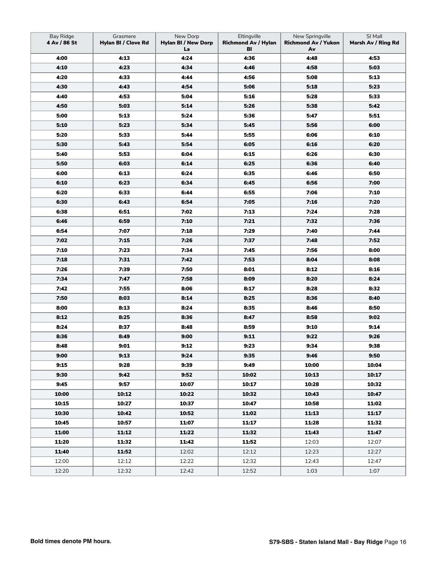| <b>Bay Ridge</b><br>4 Av / 86 St | Grasmere<br>Hylan BI / Clove Rd | New Dorp<br><b>Hylan BI / New Dorp</b><br>La | Eltingville<br><b>Richmond Av / Hylan</b><br>BI | New Springville<br><b>Richmond Av / Yukon</b><br>Av | SI Mall<br>Marsh Av / Ring Rd |
|----------------------------------|---------------------------------|----------------------------------------------|-------------------------------------------------|-----------------------------------------------------|-------------------------------|
| 4:00                             | 4:13                            | 4:24                                         | 4:36                                            | 4:48                                                | 4:53                          |
| 4:10                             | 4:23                            | 4:34                                         | 4:46                                            | 4:58                                                | 5:03                          |
| 4:20                             | 4:33                            | 4:44                                         | 4:56                                            | 5:08                                                | 5:13                          |
| 4:30                             | 4:43                            | 4:54                                         | 5:06                                            | 5:18                                                | 5:23                          |
| 4:40                             | 4:53                            | 5:04                                         | 5:16                                            | 5:28                                                | 5:33                          |
| 4:50                             | 5:03                            | 5:14                                         | 5:26                                            | 5:38                                                | 5:42                          |
| 5:00                             | 5:13                            | 5:24                                         | 5:36                                            | 5:47                                                | 5:51                          |
| 5:10                             | 5:23                            | 5:34                                         | 5:45                                            | 5:56                                                | 6:00                          |
| 5:20                             | 5:33                            | 5:44                                         | 5:55                                            | 6:06                                                | 6:10                          |
| 5:30                             | 5:43                            | 5:54                                         | 6:05                                            | 6:16                                                | 6:20                          |
| 5:40                             | 5:53                            | 6:04                                         | 6:15                                            | 6:26                                                | 6:30                          |
| 5:50                             | 6:03                            | 6:14                                         | 6:25                                            | 6:36                                                | 6:40                          |
| 6:00                             | 6:13                            | 6:24                                         | 6:35                                            | 6:46                                                | 6:50                          |
| 6:10                             | 6:23                            | 6:34                                         | 6:45                                            | 6:56                                                | 7:00                          |
| 6:20                             | 6:33                            | 6:44                                         | 6:55                                            | 7:06                                                | 7:10                          |
| 6:30                             | 6:43                            | 6:54                                         | 7:05                                            | 7:16                                                | 7:20                          |
| 6:38                             | 6:51                            | 7:02                                         | 7:13                                            | 7:24                                                | 7:28                          |
| 6:46                             | 6:59                            | 7:10                                         | 7:21                                            | 7:32                                                | 7:36                          |
| 6:54                             | 7:07                            | 7:18                                         | 7:29                                            | 7:40                                                | 7:44                          |
| 7:02                             | 7:15                            | 7:26                                         | 7:37                                            | 7:48                                                | 7:52                          |
| 7:10                             | 7:23                            | 7:34                                         | 7:45                                            | 7:56                                                | 8:00                          |
| 7:18                             | 7:31                            | 7:42                                         | 7:53                                            | 8:04                                                | 8:08                          |
| 7:26                             | 7:39                            | 7:50                                         | 8:01                                            | 8:12                                                | 8:16                          |
| 7:34                             | 7:47                            | 7:58                                         | 8:09                                            | 8:20                                                | 8:24                          |
| 7:42                             | 7:55                            | 8:06                                         | 8:17                                            | 8:28                                                | 8:32                          |
| 7:50                             | 8:03                            | 8:14                                         | 8:25                                            | 8:36                                                | 8:40                          |
| 8:00                             | 8:13                            | 8:24                                         | 8:35                                            | 8:46                                                | 8:50                          |
| 8:12                             | 8:25                            | 8:36                                         | 8:47                                            | 8:58                                                | 9:02                          |
| 8:24                             | 8:37                            | 8:48                                         | 8:59                                            | 9:10                                                | 9:14                          |
| 8:36                             | 8:49                            | 9:00                                         | 9:11                                            | 9:22                                                | 9:26                          |
| 8:48                             | 9:01                            | 9:12                                         | 9:23                                            | 9:34                                                | 9:38                          |
| 9:00                             | 9:13                            | 9:24                                         | 9:35                                            | 9:46                                                | 9:50                          |
| 9:15                             | 9:28                            | 9:39                                         | 9:49                                            | 10:00                                               | 10:04                         |
| 9:30                             | 9:42                            | 9:52                                         | 10:02                                           | 10:13                                               | 10:17                         |
| 9:45                             | 9:57                            | 10:07                                        | 10:17                                           | 10:28                                               | 10:32                         |
| 10:00                            | 10:12                           | 10:22                                        | 10:32                                           | 10:43                                               | 10:47                         |
| 10:15                            | 10:27                           | 10:37                                        | 10:47                                           | 10:58                                               | 11:02                         |
| 10:30                            | 10:42                           | 10:52                                        | 11:02                                           | 11:13                                               | 11:17                         |
| 10:45                            | 10:57                           | 11:07                                        | 11:17                                           | 11:28                                               | 11:32                         |
| 11:00                            | 11:12                           | 11:22                                        | 11:32                                           | 11:43                                               | 11:47                         |
| 11:20                            | 11:32                           | 11:42                                        | 11:52                                           | 12:03                                               | 12:07                         |
| 11:40                            | 11:52                           | 12:02                                        | 12:12                                           | 12:23                                               | 12:27                         |
| 12:00                            | 12:12                           | 12:22                                        | 12:32                                           | 12:43                                               | 12:47                         |
| 12:20                            | 12:32                           | 12:42                                        | 12:52                                           | 1:03                                                | 1:07                          |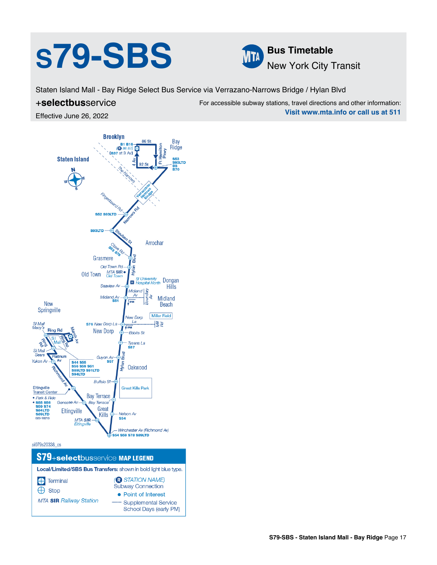# **S79-SBS Bus Timetable**



Staten Island Mall - Bay Ridge Select Bus Service via Verrazano-Narrows Bridge / Hylan Blvd

### +**selectbus**service

For accessible subway stations, travel directions and other information: **Visit www.mta.info or call us at 511**

Effective June 26, 2022



School Days (early PM)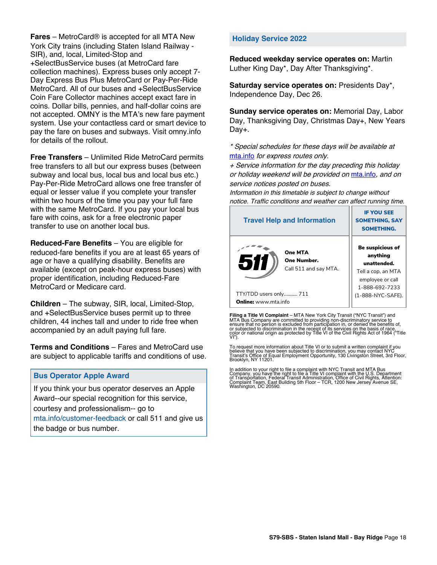**Fares** – MetroCard® is accepted for all MTA New York City trains (including Staten Island Railway - SIR), and, local, Limited-Stop and +SelectBusService buses (at MetroCard fare collection machines). Express buses only accept 7- Day Express Bus Plus MetroCard or Pay-Per-Ride MetroCard. All of our buses and +SelectBusService Coin Fare Collector machines accept exact fare in coins. Dollar bills, pennies, and half-dollar coins are not accepted. OMNY is the MTA's new fare payment system. Use your contactless card or smart device to pay the fare on buses and subways. Visit omny.info for details of the rollout.

**Free Transfers** – Unlimited Ride MetroCard permits free transfers to all but our express buses (between subway and local bus, local bus and local bus etc.) Pay-Per-Ride MetroCard allows one free transfer of equal or lesser value if you complete your transfer within two hours of the time you pay your full fare with the same MetroCard. If you pay your local bus fare with coins, ask for a free electronic paper transfer to use on another local bus.

**Reduced-Fare Benefits** – You are eligible for reduced-fare benefits if you are at least 65 years of age or have a qualifying disability. Benefits are available (except on peak-hour express buses) with proper identification, including Reduced-Fare MetroCard or Medicare card.

**Children** – The subway, SIR, local, Limited-Stop, and +SelectBusService buses permit up to three children, 44 inches tall and under to ride free when accompanied by an adult paying full fare.

**Terms and Conditions** – Fares and MetroCard use are subject to applicable tariffs and conditions of use.

#### **Bus Operator Apple Award**

If you think your bus operator deserves an Apple Award--our special recognition for this service, courtesy and professionalism-- go to mta.info/customer-feedback or call 511 and give us the badge or bus number.

#### **Holiday Service 2022**

**Reduced weekday service operates on:** Martin Luther King Day\*, Day After Thanksgiving\*.

**Saturday service operates on:** Presidents Day\*, Independence Day, Dec 26.

**Sunday service operates on:** Memorial Day, Labor Day, Thanksgiving Day, Christmas Day+, New Years Day+.

\* Special schedules for these days will be available at [mta.info](https://new.mta.info/) for express routes only.

+ Service information for the day preceding this holiday or holiday weekend will be provided on [mta.info](https://new.mta.info/), and on service notices posted on buses.

Information in this timetable is subject to change without notice. Traffic conditions and weather can affect running time.

| <b>Travel Help and Information</b>                    | <b>IF YOU SEE</b><br><b>SOMETHING, SAY</b><br><b>SOMETHING.</b>                                                |  |
|-------------------------------------------------------|----------------------------------------------------------------------------------------------------------------|--|
| One MTA<br>51<br>One Number.<br>Call 511 and say MTA. | <b>Be suspicious of</b><br>anything<br>unattended.<br>Tell a cop, an MTA<br>employee or call<br>1-888-692-7233 |  |
| TTY/TDD users only 711                                | (1-888-NYC-SAFE).                                                                                              |  |
| <b>Online:</b> www.mta.info                           |                                                                                                                |  |

**Filing a Title VI Complaint** – MTA New York City Transit ("NYC Transit") and<br>MTA Bus Company are committed to providing non-discriminatory service to<br>ensure that no person is excluded from participation in, or denied the

To request more information about Title VI or to submit a written complaint if you believe that you have been subjected to discrimination, you may contact NYC<br>Transit's Office of Equal Employment Opportunity, 130 Livingston Street, 3rd Floor,<br>Brooklyn, NY 11201.

In addition to your right to file a complaint with NYC Transit and MTA Bus<br>Company, you have the right to file a Title VI complaint with the U.S. Department<br>of Transportation, Federal Transit Administration, Office of Civi